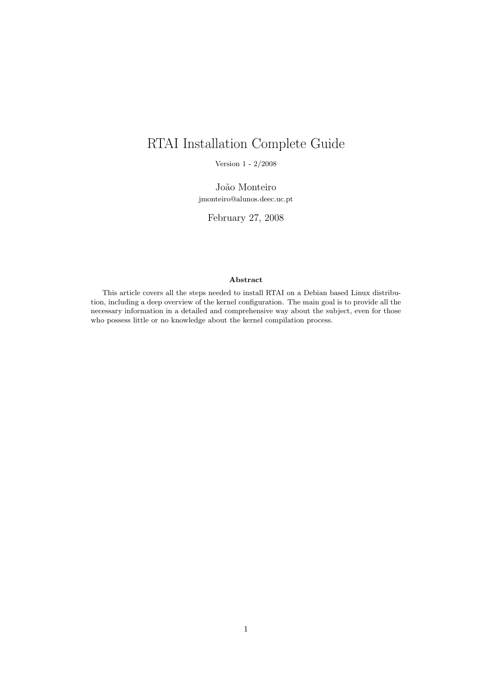# RTAI Installation Complete Guide

Version 1 - 2/2008

João Monteiro jmonteiro@alunos.deec.uc.pt

February 27, 2008

#### Abstract

This article covers all the steps needed to install RTAI on a Debian based Linux distribution, including a deep overview of the kernel configuration. The main goal is to provide all the necessary information in a detailed and comprehensive way about the subject, even for those who possess little or no knowledge about the kernel compilation process.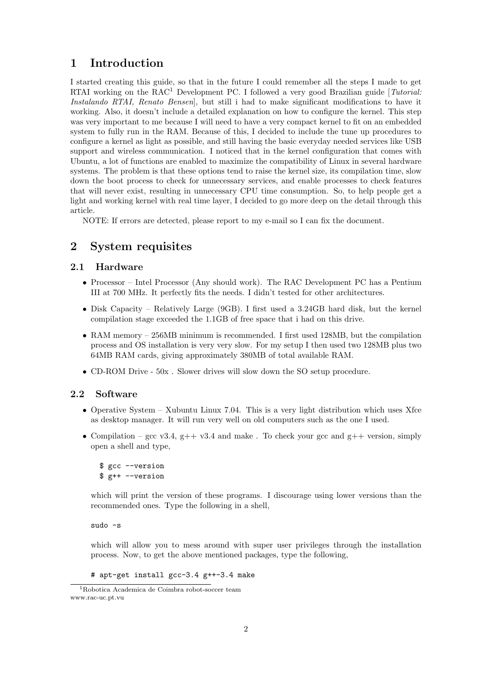# 1 Introduction

I started creating this guide, so that in the future I could remember all the steps I made to get RTAI working on the RAC<sup>1</sup> Development PC. I followed a very good Brazilian guide [*Tutorial:* Instalando RTAI, Renato Bensen, but still i had to make significant modifications to have it working. Also, it doesn't include a detailed explanation on how to configure the kernel. This step was very important to me because I will need to have a very compact kernel to fit on an embedded system to fully run in the RAM. Because of this, I decided to include the tune up procedures to configure a kernel as light as possible, and still having the basic everyday needed services like USB support and wireless communication. I noticed that in the kernel configuration that comes with Ubuntu, a lot of functions are enabled to maximize the compatibility of Linux in several hardware systems. The problem is that these options tend to raise the kernel size, its compilation time, slow down the boot process to check for unnecessary services, and enable processes to check features that will never exist, resulting in unnecessary CPU time consumption. So, to help people get a light and working kernel with real time layer, I decided to go more deep on the detail through this article.

NOTE: If errors are detected, please report to my e-mail so I can fix the document.

## 2 System requisites

## 2.1 Hardware

- Processor Intel Processor (Any should work). The RAC Development PC has a Pentium III at 700 MHz. It perfectly fits the needs. I didn't tested for other architectures.
- Disk Capacity Relatively Large (9GB). I first used a 3.24GB hard disk, but the kernel compilation stage exceeded the 1.1GB of free space that i had on this drive.
- RAM memory 256MB minimum is recommended. I first used 128MB, but the compilation process and OS installation is very very slow. For my setup I then used two 128MB plus two 64MB RAM cards, giving approximately 380MB of total available RAM.
- CD-ROM Drive 50x . Slower drives will slow down the SO setup procedure.

## 2.2 Software

- Operative System Xubuntu Linux 7.04. This is a very light distribution which uses Xfce as desktop manager. It will run very well on old computers such as the one I used.
- Compilation gcc v3.4, g++ v3.4 and make. To check your gcc and g++ version, simply open a shell and type,

```
$ gcc --version
$ g++ --version
```
which will print the version of these programs. I discourage using lower versions than the recommended ones. Type the following in a shell,

sudo -s

which will allow you to mess around with super user privileges through the installation process. Now, to get the above mentioned packages, type the following,

```
# apt-get install gcc-3.4 g++-3.4 make
```
<sup>1</sup>Robotica Academica de Coimbra robot-soccer team www.rac-uc.pt.vu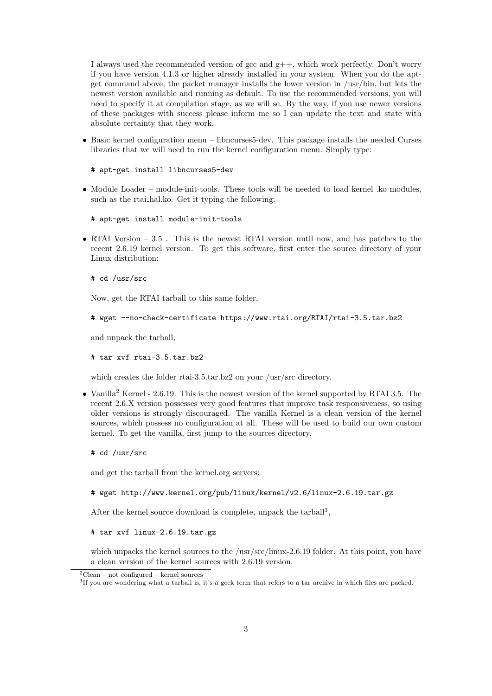I always used the recommended version of  $\gcd$  and  $g_{++}$ , which work perfectly. Don't worry if you have version 4.1.3 or higher already installed in your system. When you do the aptget command above, the packet manager installs the lower version in /usr/bin, but lets the newest version available and running as default. To use the recommended versions, you will need to specify it at compilation stage, as we will se. By the way, if you use newer versions of these packages with success please inform me so I can update the text and state with absolute certainty that they work.

• Basic kernel configuration menu – libncurses5-dev. This package installs the needed Curses libraries that we will need to run the kernel configuration menu. Simply type:

```
# apt-get install libncurses5-dev
```
• Module Loader – module-init-tools. These tools will be needed to load kernel .ko modules, such as the rtai hal.ko. Get it typing the following:

```
# apt-get install module-init-tools
```
• RTAI Version – 3.5. This is the newest RTAI version until now, and has patches to the recent 2.6.19 kernel version. To get this software, first enter the source directory of your Linux distribution:

```
# cd /usr/src
```
Now, get the RTAI tarball to this same folder,

```
# wget --no-check-certificate https://www.rtai.org/RTAI/rtai-3.5.tar.bz2
```
and unpack the tarball,

# tar xvf rtai-3.5.tar.bz2

which creates the folder rtai-3.5.tar.bz2 on your /usr/src directory.

• Vanilla<sup>2</sup> Kernel - 2.6.19. This is the newest version of the kernel supported by RTAI 3.5. The recent 2.6.X version possesses very good features that improve task responsiveness, so using older versions is strongly discouraged. The vanilla Kernel is a clean version of the kernel sources, which possess no configuration at all. These will be used to build our own custom kernel. To get the vanilla, first jump to the sources directory,

# cd /usr/src

and get the tarball from the kernel.org servers:

```
# wget http://www.kernel.org/pub/linux/kernel/v2.6/linux-2.6.19.tar.gz
```
After the kernel source download is complete, unpack the  $tanh<sup>3</sup>$ ,

```
# tar xvf linux-2.6.19.tar.gz
```
which unpacks the kernel sources to the /usr/src/linux-2.6.19 folder. At this point, you have a clean version of the kernel sources with 2.6.19 version.

 ${}^{2}$ Clean – not configured – kernel sources

<sup>3</sup> If you are wondering what a tarball is, it's a geek term that refers to a tar archive in which files are packed.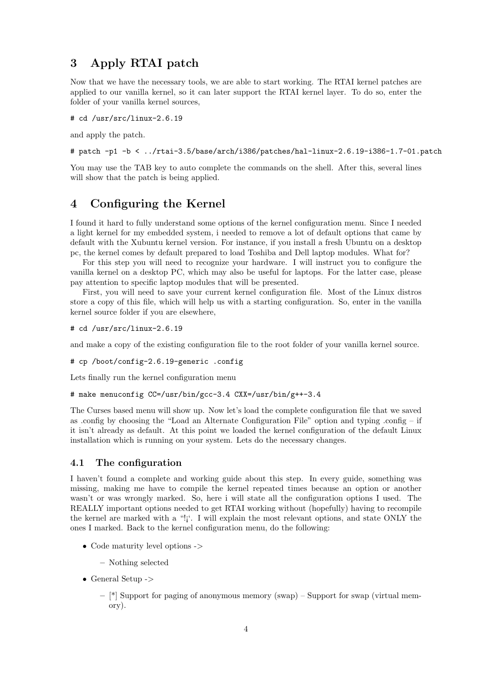# 3 Apply RTAI patch

Now that we have the necessary tools, we are able to start working. The RTAI kernel patches are applied to our vanilla kernel, so it can later support the RTAI kernel layer. To do so, enter the folder of your vanilla kernel sources,

# cd /usr/src/linux-2.6.19

and apply the patch.

# patch -p1 -b < ../rtai-3.5/base/arch/i386/patches/hal-linux-2.6.19-i386-1.7-01.patch

You may use the TAB key to auto complete the commands on the shell. After this, several lines will show that the patch is being applied.

## 4 Configuring the Kernel

I found it hard to fully understand some options of the kernel configuration menu. Since I needed a light kernel for my embedded system, i needed to remove a lot of default options that came by default with the Xubuntu kernel version. For instance, if you install a fresh Ubuntu on a desktop pc, the kernel comes by default prepared to load Toshiba and Dell laptop modules. What for?

For this step you will need to recognize your hardware. I will instruct you to configure the vanilla kernel on a desktop PC, which may also be useful for laptops. For the latter case, please pay attention to specific laptop modules that will be presented.

First, you will need to save your current kernel configuration file. Most of the Linux distros store a copy of this file, which will help us with a starting configuration. So, enter in the vanilla kernel source folder if you are elsewhere,

```
# cd /usr/src/linux-2.6.19
```
and make a copy of the existing configuration file to the root folder of your vanilla kernel source.

```
# cp /boot/config-2.6.19-generic .config
```
Lets finally run the kernel configuration menu

# make menuconfig CC=/usr/bin/gcc-3.4 CXX=/usr/bin/g++-3.4

The Curses based menu will show up. Now let's load the complete configuration file that we saved as .config by choosing the "Load an Alternate Configuration File" option and typing .config – if it isn't already as default. At this point we loaded the kernel configuration of the default Linux installation which is running on your system. Lets do the necessary changes.

#### 4.1 The configuration

I haven't found a complete and working guide about this step. In every guide, something was missing, making me have to compile the kernel repeated times because an option or another wasn't or was wrongly marked. So, here i will state all the configuration options I used. The REALLY important options needed to get RTAI working without (hopefully) having to recompile the kernel are marked with a "!¡'. I will explain the most relevant options, and state ONLY the ones I marked. Back to the kernel configuration menu, do the following:

• Code maturity level options ->

– Nothing selected

- General Setup ->
	- $-$  [\*] Support for paging of anonymous memory (swap) Support for swap (virtual memory).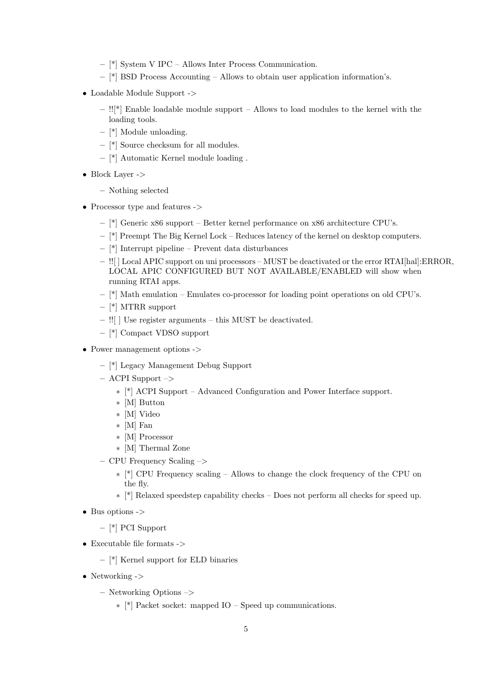- [\*] System V IPC Allows Inter Process Communication.
- [\*] BSD Process Accounting Allows to obtain user application information's.
- Loadable Module Support ->
	- $-$  !![\*] Enable loadable module support Allows to load modules to the kernel with the loading tools.
	- [\*] Module unloading.
	- [\*] Source checksum for all modules.
	- [\*] Automatic Kernel module loading .
- Block Layer ->
	- Nothing selected
- Processor type and features ->
	- $-$  [\*] Generic x86 support Better kernel performance on x86 architecture CPU's.
	- [\*] Preempt The Big Kernel Lock Reduces latency of the kernel on desktop computers.
	- [\*] Interrupt pipeline Prevent data disturbances
	- !![ ] Local APIC support on uni processors MUST be deactivated or the error RTAI[hal]:ERROR, LOCAL APIC CONFIGURED BUT NOT AVAILABLE/ENABLED will show when running RTAI apps.
	- $-$  [\*] Math emulation Emulates co-processor for loading point operations on old CPU's.
	- [\*] MTRR support
	- !![ ] Use register arguments this MUST be deactivated.
	- [\*] Compact VDSO support
- Power management options ->
	- [\*] Legacy Management Debug Support
	- $-$  ACPI Support  $-$ >
		- ∗ [\*] ACPI Support Advanced Configuration and Power Interface support.
		- ∗ [M] Button
		- ∗ [M] Video
		- ∗ [M] Fan
		- ∗ [M] Processor
		- ∗ [M] Thermal Zone
	- CPU Frequency Scaling –>
		- ∗ [\*] CPU Frequency scaling Allows to change the clock frequency of the CPU on the fly.
		- ∗ [\*] Relaxed speedstep capability checks Does not perform all checks for speed up.
- Bus options ->
	- [\*] PCI Support
- $\bullet\,$  Executable file formats ->
	- [\*] Kernel support for ELD binaries
- Networking ->
	- Networking Options –>
		- ∗ [\*] Packet socket: mapped IO Speed up communications.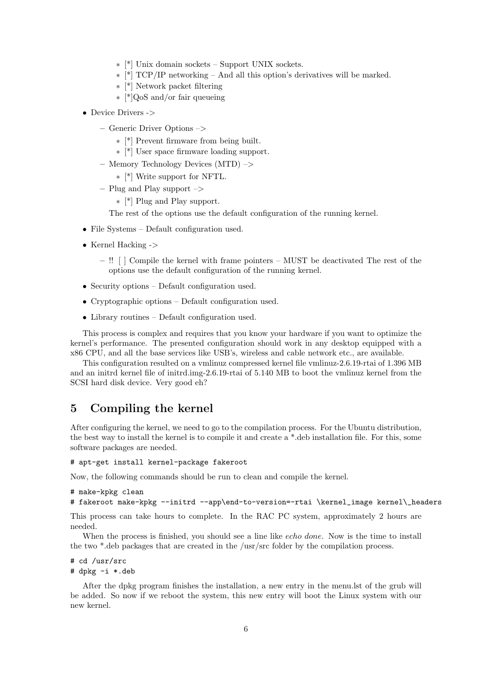- ∗ [\*] Unix domain sockets Support UNIX sockets.
- ∗ [\*] TCP/IP networking And all this option's derivatives will be marked.
- ∗ [\*] Network packet filtering
- ∗ [\*]QoS and/or fair queueing
- Device Drivers ->
	- Generic Driver Options –>
		- ∗ [\*] Prevent firmware from being built.
		- ∗ [\*] User space firmware loading support.
	- Memory Technology Devices (MTD) –>
		- ∗ [\*] Write support for NFTL.
	- Plug and Play support –>

∗ [\*] Plug and Play support.

The rest of the options use the default configuration of the running kernel.

- File Systems Default configuration used.
- Kernel Hacking ->
	- !! [ ] Compile the kernel with frame pointers MUST be deactivated The rest of the options use the default configuration of the running kernel.
- Security options Default configuration used.
- Cryptographic options Default configuration used.
- Library routines Default configuration used.

This process is complex and requires that you know your hardware if you want to optimize the kernel's performance. The presented configuration should work in any desktop equipped with a x86 CPU, and all the base services like USB's, wireless and cable network etc., are available.

This configuration resulted on a vmlinuz compressed kernel file vmlinuz-2.6.19-rtai of 1.396 MB and an initrd kernel file of initrd.img-2.6.19-rtai of 5.140 MB to boot the vmlinuz kernel from the SCSI hard disk device. Very good eh?

## 5 Compiling the kernel

After configuring the kernel, we need to go to the compilation process. For the Ubuntu distribution, the best way to install the kernel is to compile it and create a \*.deb installation file. For this, some software packages are needed.

#### # apt-get install kernel-package fakeroot

Now, the following commands should be run to clean and compile the kernel.

```
# make-kpkg clean
```

```
# fakeroot make-kpkg --initrd --app\end-to-version=-rtai \kernel_image kernel\_headers
```
This process can take hours to complete. In the RAC PC system, approximately 2 hours are needed.

When the process is finished, you should see a line like *echo done*. Now is the time to install the two \*.deb packages that are created in the /usr/src folder by the compilation process.

```
# cd /usr/src
# dpkg -i *.deb
```
After the dpkg program finishes the installation, a new entry in the menu.lst of the grub will be added. So now if we reboot the system, this new entry will boot the Linux system with our new kernel.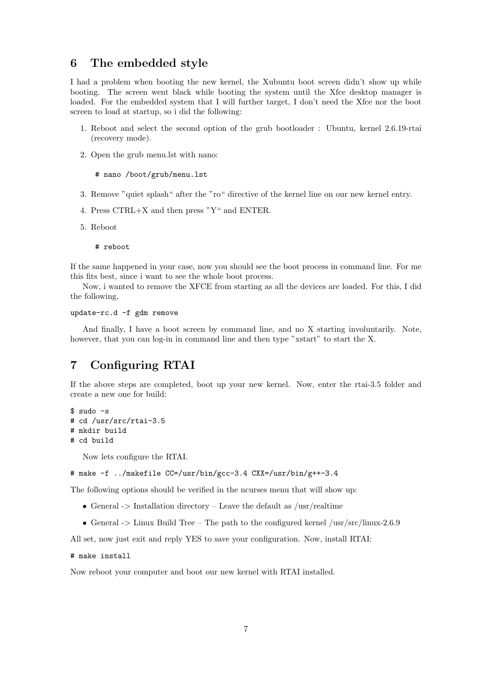## 6 The embedded style

I had a problem when booting the new kernel, the Xubuntu boot screen didn't show up while booting. The screen went black while booting the system until the Xfce desktop manager is loaded. For the embedded system that I will further target, I don't need the Xfce nor the boot screen to load at startup, so i did the following:

- 1. Reboot and select the second option of the grub bootloader : Ubuntu, kernel 2.6.19-rtai (recovery mode).
- 2. Open the grub menu.lst with nano:

```
# nano /boot/grub/menu.lst
```
- 3. Remove "quiet splash" after the "ro" directive of the kernel line on our new kernel entry.
- 4. Press CTRL+X and then press "Y" and ENTER.
- 5. Reboot

# reboot

If the same happened in your case, now you should see the boot process in command line. For me this fits best, since i want to see the whole boot process.

Now, i wanted to remove the XFCE from starting as all the devices are loaded. For this, I did the following,

#### update-rc.d -f gdm remove

And finally, I have a boot screen by command line, and no X starting involuntarily. Note, however, that you can log-in in command line and then type "xstart" to start the X.

# 7 Configuring RTAI

If the above steps are completed, boot up your new kernel. Now, enter the rtai-3.5 folder and create a new one for build:

```
$ sudo -s
# cd /usr/src/rtai-3.5
# mkdir build
# cd build
```
Now lets configure the RTAI.

```
# make -f ../makefile CC=/usr/bin/gcc-3.4 CXX=/usr/bin/g++-3.4
```
The following options should be verified in the ncurses menu that will show up:

- General  $\geq$  Installation directory Leave the default as /usr/realtime
- General  $\geq$  Linux Build Tree The path to the configured kernel /usr/src/linux-2.6.9

All set, now just exit and reply YES to save your configuration. Now, install RTAI:

```
# make install
```
Now reboot your computer and boot our new kernel with RTAI installed.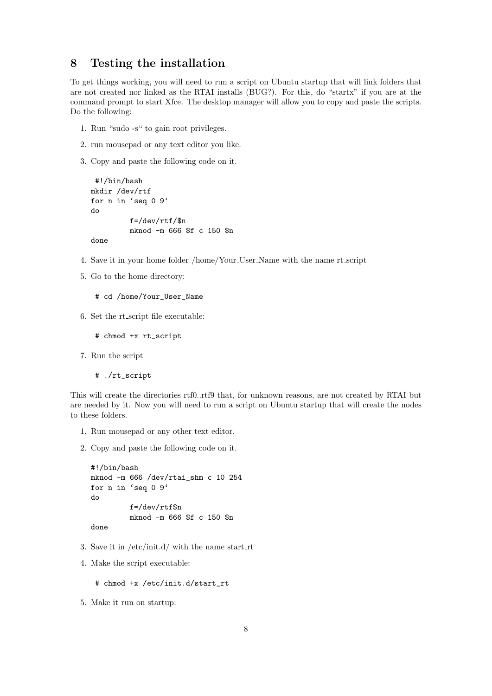## 8 Testing the installation

To get things working, you will need to run a script on Ubuntu startup that will link folders that are not created nor linked as the RTAI installs (BUG?). For this, do "startx" if you are at the command prompt to start Xfce. The desktop manager will allow you to copy and paste the scripts. Do the following:

- 1. Run "sudo -s" to gain root privileges.
- 2. run mousepad or any text editor you like.
- 3. Copy and paste the following code on it.

```
#!/bin/bash
mkdir /dev/rtf
for n in 'seq 0 9'
do
         f=/dev/rtf/$n
         mknod -m 666 $f c 150 $n
done
```
- 4. Save it in your home folder /home/Your User Name with the name rt script
- 5. Go to the home directory:
	- # cd /home/Your\_User\_Name
- 6. Set the rt script file executable:
	- # chmod +x rt\_script
- 7. Run the script
	- # ./rt\_script

This will create the directories rtf0..rtf9 that, for unknown reasons, are not created by RTAI but are needed by it. Now you will need to run a script on Ubuntu startup that will create the nodes to these folders.

- 1. Run mousepad or any other text editor.
- 2. Copy and paste the following code on it.

```
#!/bin/bash
mknod -m 666 /dev/rtai_shm c 10 254
for n in 'seq 0 9'
do
         f=/dev/rtf$n
         mknod -m 666 $f c 150 $n
done
```
- 3. Save it in  $/etc/init.d/$  with the name start\_rt
- 4. Make the script executable:
	- # chmod +x /etc/init.d/start\_rt
- 5. Make it run on startup: